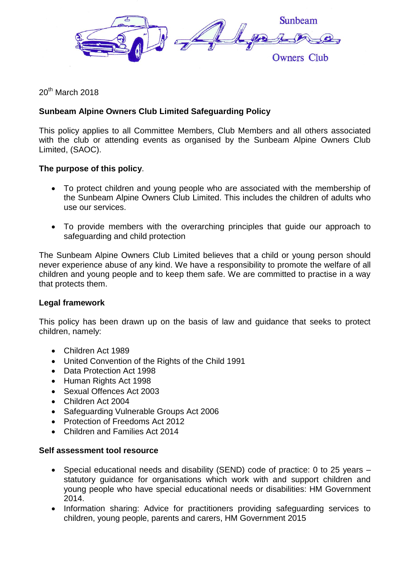

20<sup>th</sup> March 2018

# **Sunbeam Alpine Owners Club Limited Safeguarding Policy**

This policy applies to all Committee Members, Club Members and all others associated with the club or attending events as organised by the Sunbeam Alpine Owners Club Limited, (SAOC).

### **The purpose of this policy**.

- To protect children and young people who are associated with the membership of the Sunbeam Alpine Owners Club Limited. This includes the children of adults who use our services.
- To provide members with the overarching principles that guide our approach to safeguarding and child protection

The Sunbeam Alpine Owners Club Limited believes that a child or young person should never experience abuse of any kind. We have a responsibility to promote the welfare of all children and young people and to keep them safe. We are committed to practise in a way that protects them.

#### **Legal framework**

This policy has been drawn up on the basis of law and guidance that seeks to protect children, namely:

- Children Act 1989
- United Convention of the Rights of the Child 1991
- Data Protection Act 1998
- Human Rights Act 1998
- Sexual Offences Act 2003
- Children Act 2004
- Safeguarding Vulnerable Groups Act 2006
- Protection of Freedoms Act 2012
- Children and Families Act 2014

#### **Self assessment tool resource**

- Special educational needs and disability (SEND) code of practice: 0 to 25 years statutory guidance for organisations which work with and support children and young people who have special educational needs or disabilities: HM Government 2014.
- Information sharing: Advice for practitioners providing safeguarding services to children, young people, parents and carers, HM Government 2015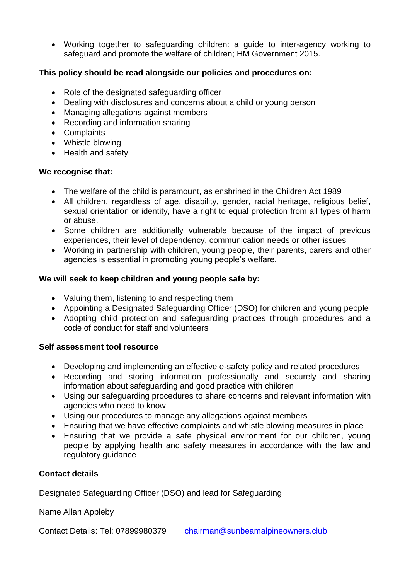Working together to safeguarding children: a guide to inter-agency working to safeguard and promote the welfare of children; HM Government 2015.

## **This policy should be read alongside our policies and procedures on:**

- Role of the designated safeguarding officer
- Dealing with disclosures and concerns about a child or young person
- Managing allegations against members
- Recording and information sharing
- Complaints
- Whistle blowing
- Health and safety

#### **We recognise that:**

- The welfare of the child is paramount, as enshrined in the Children Act 1989
- All children, regardless of age, disability, gender, racial heritage, religious belief, sexual orientation or identity, have a right to equal protection from all types of harm or abuse.
- Some children are additionally vulnerable because of the impact of previous experiences, their level of dependency, communication needs or other issues
- Working in partnership with children, young people, their parents, carers and other agencies is essential in promoting young people's welfare.

#### **We will seek to keep children and young people safe by:**

- Valuing them, listening to and respecting them
- Appointing a Designated Safeguarding Officer (DSO) for children and young people
- Adopting child protection and safeguarding practices through procedures and a code of conduct for staff and volunteers

#### **Self assessment tool resource**

- Developing and implementing an effective e-safety policy and related procedures
- Recording and storing information professionally and securely and sharing information about safeguarding and good practice with children
- Using our safeguarding procedures to share concerns and relevant information with agencies who need to know
- Using our procedures to manage any allegations against members
- Ensuring that we have effective complaints and whistle blowing measures in place
- Ensuring that we provide a safe physical environment for our children, young people by applying health and safety measures in accordance with the law and regulatory guidance

#### **Contact details**

Designated Safeguarding Officer (DSO) and lead for Safeguarding

Name Allan Appleby

Contact Details: Tel: 07899980379 [chairman@sunbeamalpineowners.club](mailto:chairman@sunbeamalpineowners.club)